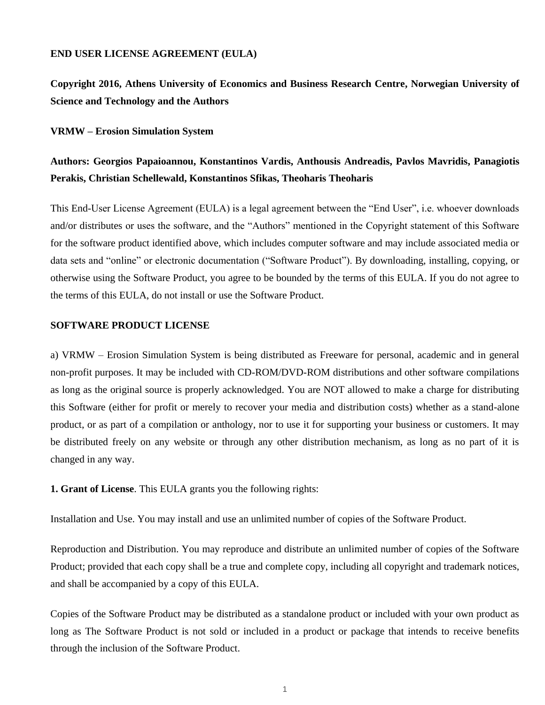## **END USER LICENSE AGREEMENT (EULA)**

**Copyright 2016, Athens University of Economics and Business Research Centre, Norwegian University of Science and Technology and the Authors**

**VRMW – Erosion Simulation System**

## **Authors: Georgios Papaioannou, Konstantinos Vardis, Anthousis Andreadis, Pavlos Mavridis, Panagiotis Perakis, Christian Schellewald, Konstantinos Sfikas, Theoharis Theoharis**

This End-User License Agreement (EULA) is a legal agreement between the "End User", i.e. whoever downloads and/or distributes or uses the software, and the "Authors" mentioned in the Copyright statement of this Software for the software product identified above, which includes computer software and may include associated media or data sets and "online" or electronic documentation ("Software Product"). By downloading, installing, copying, or otherwise using the Software Product, you agree to be bounded by the terms of this EULA. If you do not agree to the terms of this EULA, do not install or use the Software Product.

## **SOFTWARE PRODUCT LICENSE**

a) VRMW – Erosion Simulation System is being distributed as Freeware for personal, academic and in general non-profit purposes. It may be included with CD-ROM/DVD-ROM distributions and other software compilations as long as the original source is properly acknowledged. You are NOT allowed to make a charge for distributing this Software (either for profit or merely to recover your media and distribution costs) whether as a stand-alone product, or as part of a compilation or anthology, nor to use it for supporting your business or customers. It may be distributed freely on any website or through any other distribution mechanism, as long as no part of it is changed in any way.

**1. Grant of License**. This EULA grants you the following rights:

Installation and Use. You may install and use an unlimited number of copies of the Software Product.

Reproduction and Distribution. You may reproduce and distribute an unlimited number of copies of the Software Product; provided that each copy shall be a true and complete copy, including all copyright and trademark notices, and shall be accompanied by a copy of this EULA.

Copies of the Software Product may be distributed as a standalone product or included with your own product as long as The Software Product is not sold or included in a product or package that intends to receive benefits through the inclusion of the Software Product.